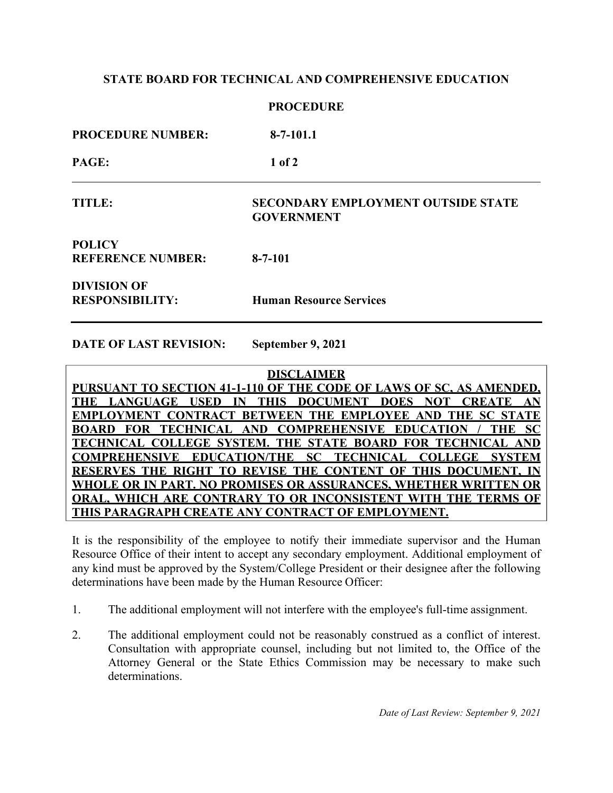## **STATE BOARD FOR TECHNICAL AND COMPREHENSIVE EDUCATION**

| <b>PROCEDURE</b>                             |                                                                |  |
|----------------------------------------------|----------------------------------------------------------------|--|
| <b>PROCEDURE NUMBER:</b>                     | $8 - 7 - 101.1$                                                |  |
| PAGE:                                        | $1$ of $2$                                                     |  |
| <b>TITLE:</b>                                | <b>SECONDARY EMPLOYMENT OUTSIDE STATE</b><br><b>GOVERNMENT</b> |  |
| <b>POLICY</b><br><b>REFERENCE NUMBER:</b>    | $8 - 7 - 101$                                                  |  |
| <b>DIVISION OF</b><br><b>RESPONSIBILITY:</b> | <b>Human Resource Services</b>                                 |  |

**DATE OF LAST REVISION: September 9, 2021**

**DISCLAIMER PURSUANT TO SECTION 41-1-110 OF THE CODE OF LAWS OF SC, AS AMENDED, THE LANGUAGE USED IN THIS DOCUMENT DOES NOT CREATE AN EMPLOYMENT CONTRACT BETWEEN THE EMPLOYEE AND THE SC STATE BOARD FOR TECHNICAL AND COMPREHENSIVE EDUCATION / THE SC TECHNICAL COLLEGE SYSTEM. THE STATE BOARD FOR TECHNICAL AND COMPREHENSIVE EDUCATION/THE SC TECHNICAL COLLEGE SYSTEM RESERVES THE RIGHT TO REVISE THE CONTENT OF THIS DOCUMENT, IN WHOLE OR IN PART. NO PROMISES OR ASSURANCES, WHETHER WRITTEN OR ORAL, WHICH ARE CONTRARY TO OR INCONSISTENT WITH THE TERMS OF THIS PARAGRAPH CREATE ANY CONTRACT OF EMPLOYMENT.**

It is the responsibility of the employee to notify their immediate supervisor and the Human Resource Office of their intent to accept any secondary employment. Additional employment of any kind must be approved by the System/College President or their designee after the following determinations have been made by the Human Resource Officer:

- 1. The additional employment will not interfere with the employee's full-time assignment.
- 2. The additional employment could not be reasonably construed as a conflict of interest. Consultation with appropriate counsel, including but not limited to, the Office of the Attorney General or the State Ethics Commission may be necessary to make such determinations.